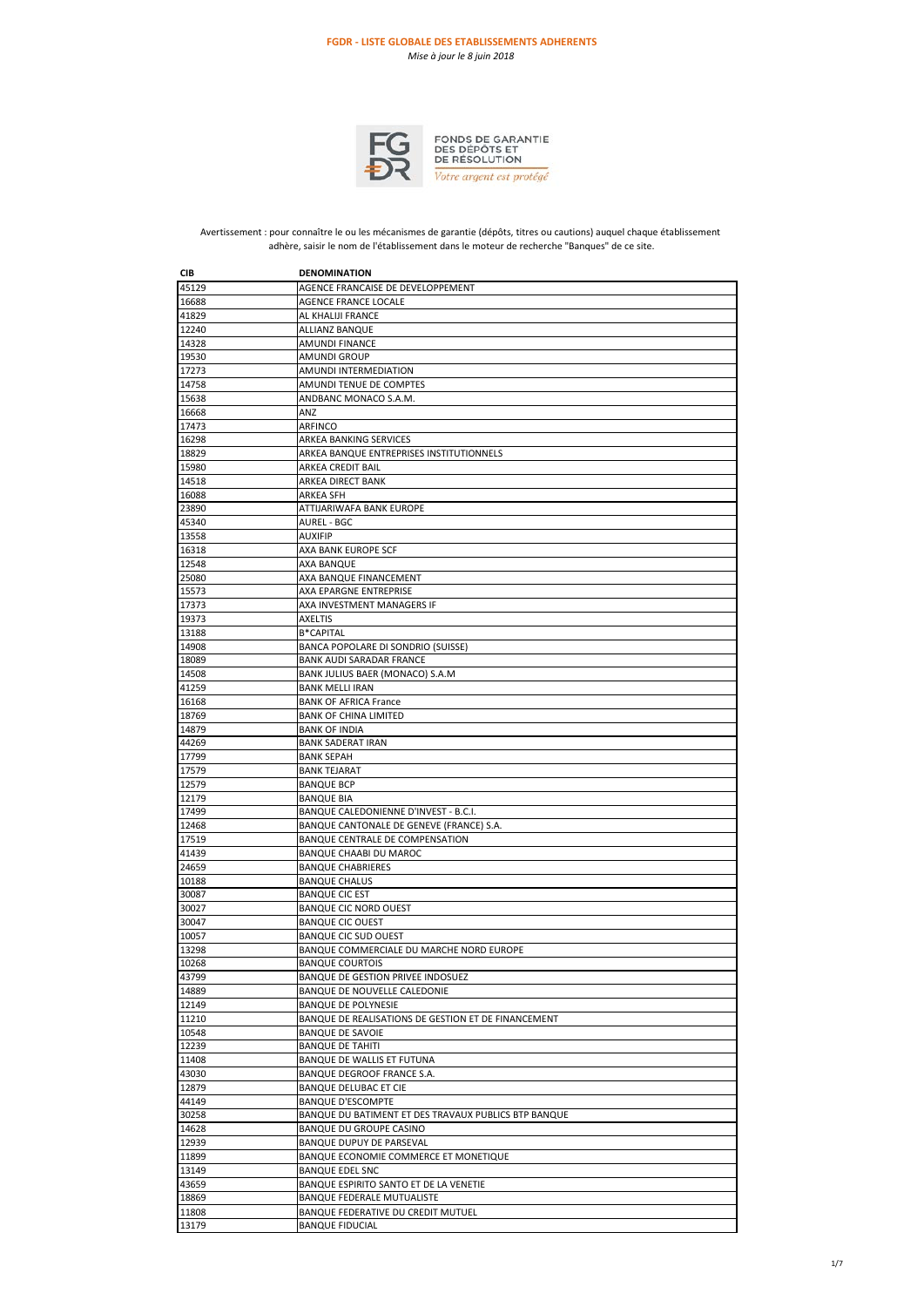

FONDS DE GARANTIE<br>DES DÉPÔTS ET<br>DE RÉSOLUTION Votre argent est protégé

Avertissement : pour connaître le ou les mécanismes de garantie (dépôts, titres ou cautions) auquel chaque établissement adhère, saisir le nom de l'établissement dans le moteur de recherche "Banques" de ce site.

| CIB   | <b>DENOMINATION</b>                                  |
|-------|------------------------------------------------------|
| 45129 | AGENCE FRANCAISE DE DEVELOPPEMENT                    |
| 16688 | AGENCE FRANCE LOCALE                                 |
| 41829 | AL KHALIJI FRANCE                                    |
| 12240 | <b>ALLIANZ BANQUE</b>                                |
|       |                                                      |
| 14328 | AMUNDI FINANCE                                       |
| 19530 | <b>AMUNDI GROUP</b>                                  |
| 17273 | AMUNDI INTERMEDIATION                                |
| 14758 | AMUNDI TENUE DE COMPTES                              |
| 15638 | ANDBANC MONACO S.A.M.                                |
| 16668 | ANZ                                                  |
| 17473 | ARFINCO                                              |
| 16298 | ARKEA BANKING SERVICES                               |
| 18829 | ARKEA BANQUE ENTREPRISES INSTITUTIONNELS             |
| 15980 | ARKEA CREDIT BAIL                                    |
| 14518 | <b>ARKEA DIRECT BANK</b>                             |
| 16088 | <b>ARKEA SFH</b>                                     |
| 23890 | ATTIJARIWAFA BANK EUROPE                             |
| 45340 | AUREL - BGC                                          |
| 13558 | <b>AUXIFIP</b>                                       |
|       |                                                      |
| 16318 | AXA BANK EUROPE SCF                                  |
| 12548 | AXA BANQUE                                           |
| 25080 | AXA BANQUE FINANCEMENT                               |
| 15573 | AXA EPARGNE ENTREPRISE                               |
| 17373 | AXA INVESTMENT MANAGERS IF                           |
| 19373 | <b>AXELTIS</b>                                       |
| 13188 | <b>B*CAPITAL</b>                                     |
| 14908 | BANCA POPOLARE DI SONDRIO (SUISSE)                   |
| 18089 | <b>BANK AUDI SARADAR FRANCE</b>                      |
| 14508 | BANK JULIUS BAER (MONACO) S.A.M                      |
| 41259 | <b>BANK MELLI IRAN</b>                               |
| 16168 | <b>BANK OF AFRICA France</b>                         |
| 18769 | <b>BANK OF CHINA LIMITED</b>                         |
| 14879 | <b>BANK OF INDIA</b>                                 |
| 44269 | <b>BANK SADERAT IRAN</b>                             |
|       |                                                      |
| 17799 | <b>BANK SEPAH</b>                                    |
| 17579 | <b>BANK TEJARAT</b>                                  |
| 12579 | <b>BANQUE BCP</b>                                    |
| 12179 | <b>BANQUE BIA</b>                                    |
| 17499 | BANQUE CALEDONIENNE D'INVEST - B.C.I.                |
| 12468 | BANQUE CANTONALE DE GENEVE (FRANCE) S.A.             |
| 17519 | BANQUE CENTRALE DE COMPENSATION                      |
| 41439 | <b>BANQUE CHAABI DU MAROC</b>                        |
| 24659 | <b>BANQUE CHABRIERES</b>                             |
| 10188 | <b>BANQUE CHALUS</b>                                 |
| 30087 | <b>BANQUE CIC EST</b>                                |
| 30027 | <b>BANQUE CIC NORD OUEST</b>                         |
| 30047 | <b>BANQUE CIC OUEST</b>                              |
| 10057 | <b>BANQUE CIC SUD OUEST</b>                          |
| 13298 | BANQUE COMMERCIALE DU MARCHE NORD EUROPE             |
| 10268 | <b>BANQUE COURTOIS</b>                               |
| 43799 | BANQUE DE GESTION PRIVEE INDOSUEZ                    |
|       |                                                      |
| 14889 | BANQUE DE NOUVELLE CALEDONIE                         |
| 12149 | <b>BANQUE DE POLYNESIE</b>                           |
| 11210 | BANQUE DE REALISATIONS DE GESTION ET DE FINANCEMENT  |
| 10548 | <b>BANQUE DE SAVOIE</b>                              |
| 12239 | <b>BANQUE DE TAHITI</b>                              |
| 11408 | BANQUE DE WALLIS ET FUTUNA                           |
| 43030 | BANQUE DEGROOF FRANCE S.A.                           |
| 12879 | BANQUE DELUBAC ET CIE                                |
| 44149 | <b>BANQUE D'ESCOMPTE</b>                             |
| 30258 | BANQUE DU BATIMENT ET DES TRAVAUX PUBLICS BTP BANQUE |
| 14628 | BANQUE DU GROUPE CASINO                              |
| 12939 | BANQUE DUPUY DE PARSEVAL                             |
| 11899 | BANQUE ECONOMIE COMMERCE ET MONETIQUE                |
| 13149 | <b>BANQUE EDEL SNC</b>                               |
|       |                                                      |
| 43659 | BANQUE ESPIRITO SANTO ET DE LA VENETIE               |
| 18869 | <b>BANQUE FEDERALE MUTUALISTE</b>                    |
| 11808 | BANQUE FEDERATIVE DU CREDIT MUTUEL                   |
| 13179 | <b>BANQUE FIDUCIAL</b>                               |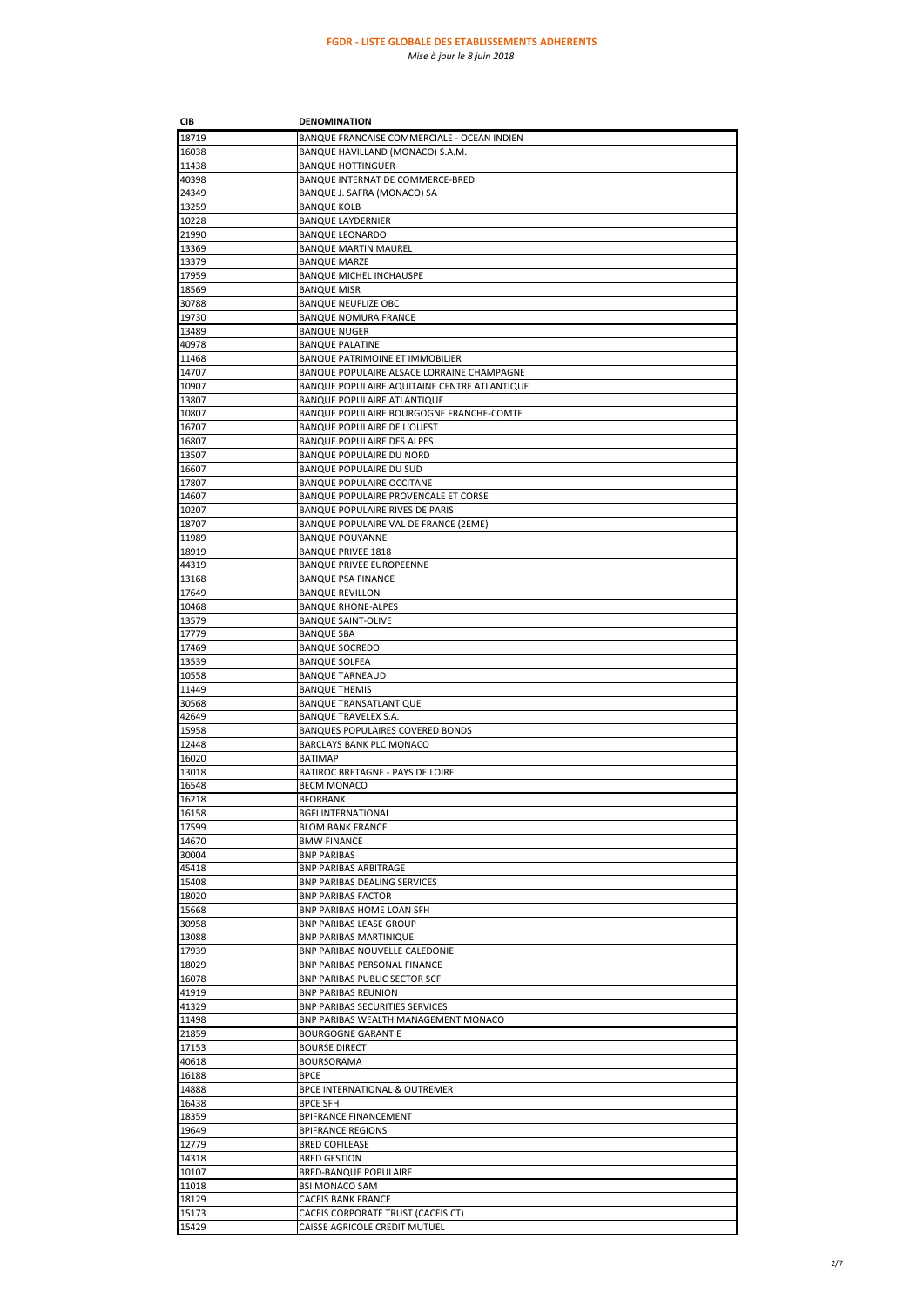| CIB            | <b>DENOMINATION</b>                                                            |
|----------------|--------------------------------------------------------------------------------|
| 18719          | BANQUE FRANCAISE COMMERCIALE - OCEAN INDIEN                                    |
| 16038          | BANQUE HAVILLAND (MONACO) S.A.M.                                               |
| 11438          | <b>BANQUE HOTTINGUER</b>                                                       |
| 40398          | BANQUE INTERNAT DE COMMERCE-BRED                                               |
| 24349          | BANQUE J. SAFRA (MONACO) SA                                                    |
| 13259          | <b>BANQUE KOLB</b>                                                             |
| 10228          | <b>BANQUE LAYDERNIER</b>                                                       |
| 21990          | <b>BANQUE LEONARDO</b>                                                         |
| 13369          | <b>BANQUE MARTIN MAUREL</b>                                                    |
| 13379          | <b>BANQUE MARZE</b><br><b>BANQUE MICHEL INCHAUSPE</b>                          |
| 17959<br>18569 | <b>BANQUE MISR</b>                                                             |
| 30788          | <b>BANQUE NEUFLIZE OBC</b>                                                     |
| 19730          | <b>BANQUE NOMURA FRANCE</b>                                                    |
| 13489          | <b>BANQUE NUGER</b>                                                            |
| 40978          | <b>BANQUE PALATINE</b>                                                         |
| 11468          | BANQUE PATRIMOINE ET IMMOBILIER                                                |
| 14707          | BANQUE POPULAIRE ALSACE LORRAINE CHAMPAGNE                                     |
| 10907          | BANQUE POPULAIRE AQUITAINE CENTRE ATLANTIQUE                                   |
| 13807          | BANQUE POPULAIRE ATLANTIQUE                                                    |
| 10807          | BANQUE POPULAIRE BOURGOGNE FRANCHE-COMTE                                       |
| 16707          | <b>BANQUE POPULAIRE DE L'OUEST</b>                                             |
| 16807          | <b>BANQUE POPULAIRE DES ALPES</b>                                              |
| 13507<br>16607 | <b>BANQUE POPULAIRE DU NORD</b><br><b>BANQUE POPULAIRE DU SUD</b>              |
| 17807          | <b>BANQUE POPULAIRE OCCITANE</b>                                               |
| 14607          | BANQUE POPULAIRE PROVENCALE ET CORSE                                           |
| 10207          | BANQUE POPULAIRE RIVES DE PARIS                                                |
| 18707          | BANQUE POPULAIRE VAL DE FRANCE (2EME)                                          |
| 11989          | <b>BANQUE POUYANNE</b>                                                         |
| 18919          | <b>BANQUE PRIVEE 1818</b>                                                      |
| 44319          | <b>BANQUE PRIVEE EUROPEENNE</b>                                                |
| 13168          | <b>BANQUE PSA FINANCE</b>                                                      |
| 17649          | <b>BANQUE REVILLON</b>                                                         |
| 10468          | <b>BANQUE RHONE-ALPES</b>                                                      |
| 13579          | <b>BANQUE SAINT-OLIVE</b>                                                      |
| 17779          | <b>BANQUE SBA</b>                                                              |
| 17469          | <b>BANQUE SOCREDO</b>                                                          |
| 13539<br>10558 | <b>BANQUE SOLFEA</b><br><b>BANQUE TARNEAUD</b>                                 |
| 11449          | <b>BANQUE THEMIS</b>                                                           |
| 30568          | BANQUE TRANSATLANTIQUE                                                         |
| 42649          | BANQUE TRAVELEX S.A.                                                           |
| 15958          | BANQUES POPULAIRES COVERED BONDS                                               |
| 12448          | BARCLAYS BANK PLC MONACO                                                       |
| 16020          | <b>BATIMAP</b>                                                                 |
| 13018          | BATIROC BRETAGNE - PAYS DE LOIRE                                               |
| 16548          | <b>BECM MONACO</b>                                                             |
| 16218          | <b>BFORBANK</b>                                                                |
| 16158          | <b>BGFI INTERNATIONAL</b>                                                      |
| 17599          | <b>BLOM BANK FRANCE</b><br><b>BMW FINANCE</b>                                  |
| 14670<br>30004 | <b>BNP PARIBAS</b>                                                             |
| 45418          | BNP PARIBAS ARBITRAGE                                                          |
| 15408          | BNP PARIBAS DEALING SERVICES                                                   |
| 18020          | <b>BNP PARIBAS FACTOR</b>                                                      |
| 15668          | BNP PARIBAS HOME LOAN SFH                                                      |
| 30958          | <b>BNP PARIBAS LEASE GROUP</b>                                                 |
| 13088          | BNP PARIBAS MARTINIQUE                                                         |
| 17939          | BNP PARIBAS NOUVELLE CALEDONIE                                                 |
| 18029          | BNP PARIBAS PERSONAL FINANCE                                                   |
| 16078          | <b>BNP PARIBAS PUBLIC SECTOR SCF</b>                                           |
| 41919<br>41329 | <b>BNP PARIBAS REUNION</b>                                                     |
| 11498          | <b>BNP PARIBAS SECURITIES SERVICES</b><br>BNP PARIBAS WEALTH MANAGEMENT MONACO |
| 21859          | <b>BOURGOGNE GARANTIE</b>                                                      |
| 17153          | <b>BOURSE DIRECT</b>                                                           |
| 40618          | BOURSORAMA                                                                     |
| 16188          | <b>BPCE</b>                                                                    |
| 14888          | BPCE INTERNATIONAL & OUTREMER                                                  |
| 16438          | <b>BPCE SFH</b>                                                                |
| 18359          | <b>BPIFRANCE FINANCEMENT</b>                                                   |
| 19649          | <b>BPIFRANCE REGIONS</b>                                                       |
| 12779          | <b>BRED COFILEASE</b>                                                          |
| 14318          | <b>BRED GESTION</b>                                                            |
| 10107          | <b>BRED-BANQUE POPULAIRE</b>                                                   |
| 11018          | <b>BSI MONACO SAM</b>                                                          |
| 18129<br>15173 | <b>CACEIS BANK FRANCE</b><br>CACEIS CORPORATE TRUST (CACEIS CT)                |
| 15429          | CAISSE AGRICOLE CREDIT MUTUEL                                                  |
|                |                                                                                |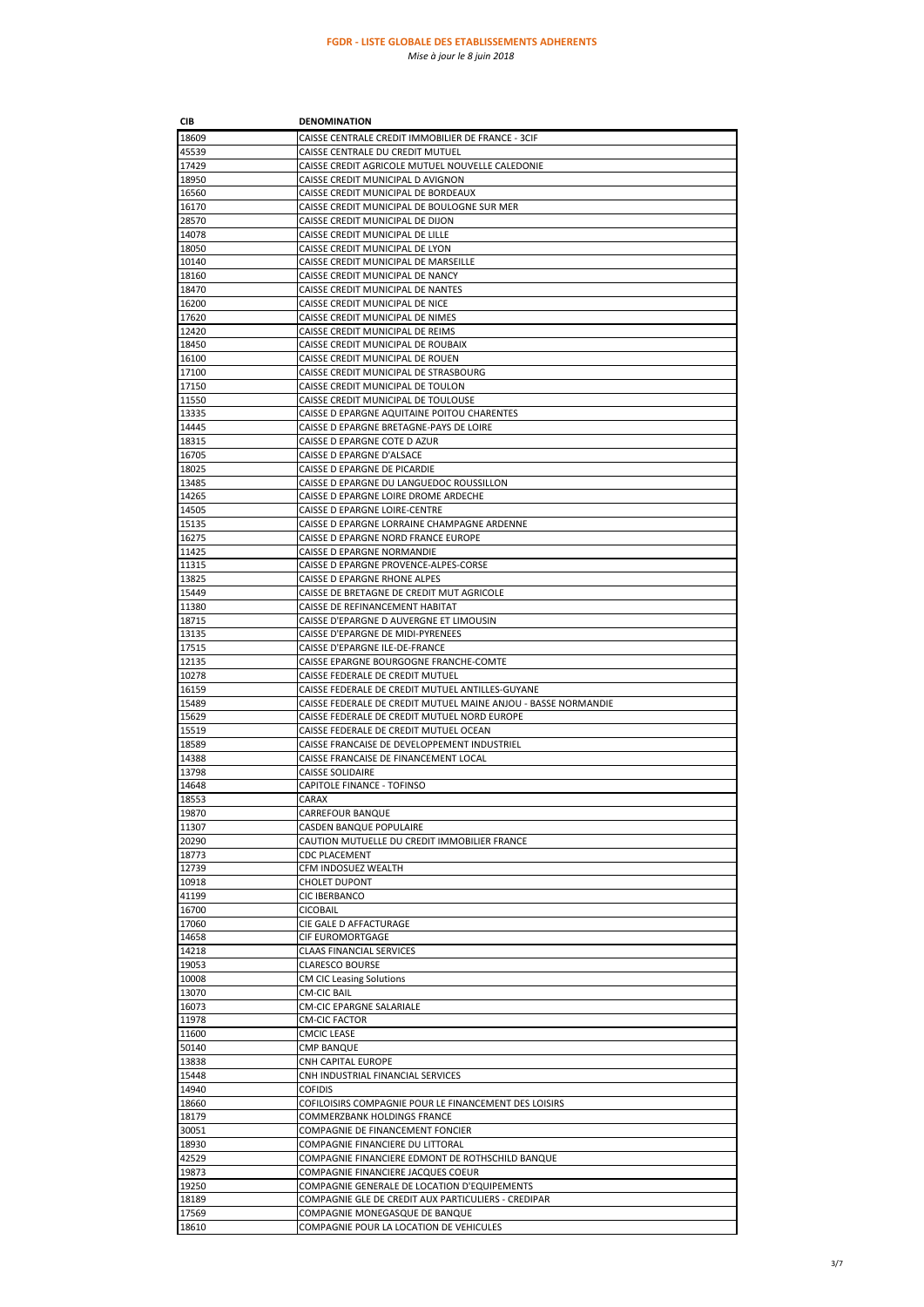# **FGDR - LISTE GLOBALE DES ETABLISSEMENTS ADHERENTS**

*Mise à jour le 8 juin 2018*

| CIB            | DENOMINATION                                                                          |
|----------------|---------------------------------------------------------------------------------------|
| 18609          | CAISSE CENTRALE CREDIT IMMOBILIER DE FRANCE - 3CIF                                    |
| 45539          | CAISSE CENTRALE DU CREDIT MUTUEL                                                      |
| 17429          | CAISSE CREDIT AGRICOLE MUTUEL NOUVELLE CALEDONIE                                      |
| 18950          | CAISSE CREDIT MUNICIPAL D AVIGNON                                                     |
| 16560          | CAISSE CREDIT MUNICIPAL DE BORDEAUX                                                   |
| 16170          | CAISSE CREDIT MUNICIPAL DE BOULOGNE SUR MER                                           |
| 28570          | CAISSE CREDIT MUNICIPAL DE DIJON                                                      |
| 14078          | CAISSE CREDIT MUNICIPAL DE LILLE                                                      |
| 18050          | CAISSE CREDIT MUNICIPAL DE LYON                                                       |
| 10140          | CAISSE CREDIT MUNICIPAL DE MARSEILLE                                                  |
| 18160          | CAISSE CREDIT MUNICIPAL DE NANCY                                                      |
| 18470          | CAISSE CREDIT MUNICIPAL DE NANTES                                                     |
| 16200          | CAISSE CREDIT MUNICIPAL DE NICE                                                       |
| 17620          | CAISSE CREDIT MUNICIPAL DE NIMES                                                      |
| 12420          | CAISSE CREDIT MUNICIPAL DE REIMS                                                      |
| 18450          | CAISSE CREDIT MUNICIPAL DE ROUBAIX                                                    |
| 16100          | CAISSE CREDIT MUNICIPAL DE ROUEN                                                      |
| 17100          | CAISSE CREDIT MUNICIPAL DE STRASBOURG                                                 |
| 17150          | CAISSE CREDIT MUNICIPAL DE TOULON                                                     |
| 11550          | CAISSE CREDIT MUNICIPAL DE TOULOUSE                                                   |
| 13335          | CAISSE D EPARGNE AQUITAINE POITOU CHARENTES                                           |
| 14445          | CAISSE D EPARGNE BRETAGNE-PAYS DE LOIRE                                               |
| 18315          | CAISSE D EPARGNE COTE D AZUR                                                          |
| 16705          | CAISSE D EPARGNE D'ALSACE                                                             |
| 18025          | CAISSE D EPARGNE DE PICARDIE                                                          |
| 13485          | CAISSE D EPARGNE DU LANGUEDOC ROUSSILLON                                              |
| 14265          | CAISSE D EPARGNE LOIRE DROME ARDECHE                                                  |
| 14505          | CAISSE D EPARGNE LOIRE-CENTRE                                                         |
| 15135          | CAISSE D EPARGNE LORRAINE CHAMPAGNE ARDENNE                                           |
| 16275          | CAISSE D EPARGNE NORD FRANCE EUROPE                                                   |
| 11425          | CAISSE D EPARGNE NORMANDIE                                                            |
| 11315          | CAISSE D EPARGNE PROVENCE-ALPES-CORSE                                                 |
| 13825          | CAISSE D EPARGNE RHONE ALPES                                                          |
| 15449          | CAISSE DE BRETAGNE DE CREDIT MUT AGRICOLE                                             |
| 11380          | CAISSE DE REFINANCEMENT HABITAT                                                       |
| 18715          |                                                                                       |
| 13135          | CAISSE D'EPARGNE D AUVERGNE ET LIMOUSIN                                               |
|                | CAISSE D'EPARGNE DE MIDI-PYRENEES<br>CAISSE D'EPARGNE ILE-DE-FRANCE                   |
| 17515          |                                                                                       |
| 12135          | CAISSE EPARGNE BOURGOGNE FRANCHE-COMTE                                                |
| 10278          | CAISSE FEDERALE DE CREDIT MUTUEL                                                      |
| 16159          | CAISSE FEDERALE DE CREDIT MUTUEL ANTILLES-GUYANE                                      |
| 15489          | CAISSE FEDERALE DE CREDIT MUTUEL MAINE ANJOU - BASSE NORMANDIE                        |
| 15629          | CAISSE FEDERALE DE CREDIT MUTUEL NORD EUROPE                                          |
| 15519          | CAISSE FEDERALE DE CREDIT MUTUEL OCEAN                                                |
| 18589          | CAISSE FRANCAISE DE DEVELOPPEMENT INDUSTRIEL<br>CAISSE FRANCAISE DE FINANCEMENT LOCAL |
| 14388<br>13798 | CAISSE SOLIDAIRE                                                                      |
| 14648          | CAPITOLE FINANCE - TOFINSO                                                            |
|                |                                                                                       |
| 18553<br>19870 | CARAX<br><b>CARREFOUR BANQUE</b>                                                      |
| 11307          | <b>CASDEN BANQUE POPULAIRE</b>                                                        |
|                | CAUTION MUTUELLE DU CREDIT IMMOBILIER FRANCE                                          |
| 20290          |                                                                                       |
| 18773          | <b>CDC PLACEMENT</b>                                                                  |
| 12739          | CFM INDOSUEZ WEALTH                                                                   |
| 10918          | <b>CHOLET DUPONT</b>                                                                  |
| 41199          | CIC IBERBANCO                                                                         |
| 16700<br>17060 | CICOBAIL                                                                              |
| 14658          | CIE GALE D AFFACTURAGE                                                                |
|                | CIF EUROMORTGAGE                                                                      |
| 14218          | CLAAS FINANCIAL SERVICES                                                              |
| 19053          | <b>CLARESCO BOURSE</b>                                                                |
| 10008          | <b>CM CIC Leasing Solutions</b>                                                       |
| 13070          | CM-CIC BAIL                                                                           |
| 16073<br>11978 | <b>CM-CIC EPARGNE SALARIALE</b><br><b>CM-CIC FACTOR</b>                               |
|                |                                                                                       |
| 11600          | <b>CMCIC LEASE</b>                                                                    |
| 50140          | CMP BANQUE                                                                            |
| 13838          | CNH CAPITAL EUROPE                                                                    |
| 15448          | CNH INDUSTRIAL FINANCIAL SERVICES                                                     |
| 14940          | COFIDIS                                                                               |
| 18660          | COFILOISIRS COMPAGNIE POUR LE FINANCEMENT DES LOISIRS                                 |
| 18179          | COMMERZBANK HOLDINGS FRANCE                                                           |
| 30051          | COMPAGNIE DE FINANCEMENT FONCIER                                                      |
| 18930          | COMPAGNIE FINANCIERE DU LITTORAL                                                      |
| 42529          | COMPAGNIE FINANCIERE EDMONT DE ROTHSCHILD BANQUE                                      |
| 19873          | COMPAGNIE FINANCIERE JACQUES COEUR                                                    |
| 19250          | COMPAGNIE GENERALE DE LOCATION D'EQUIPEMENTS                                          |
| 18189          | COMPAGNIE GLE DE CREDIT AUX PARTICULIERS - CREDIPAR                                   |
| 17569          | COMPAGNIE MONEGASQUE DE BANQUE                                                        |
| 18610          | COMPAGNIE POUR LA LOCATION DE VEHICULES                                               |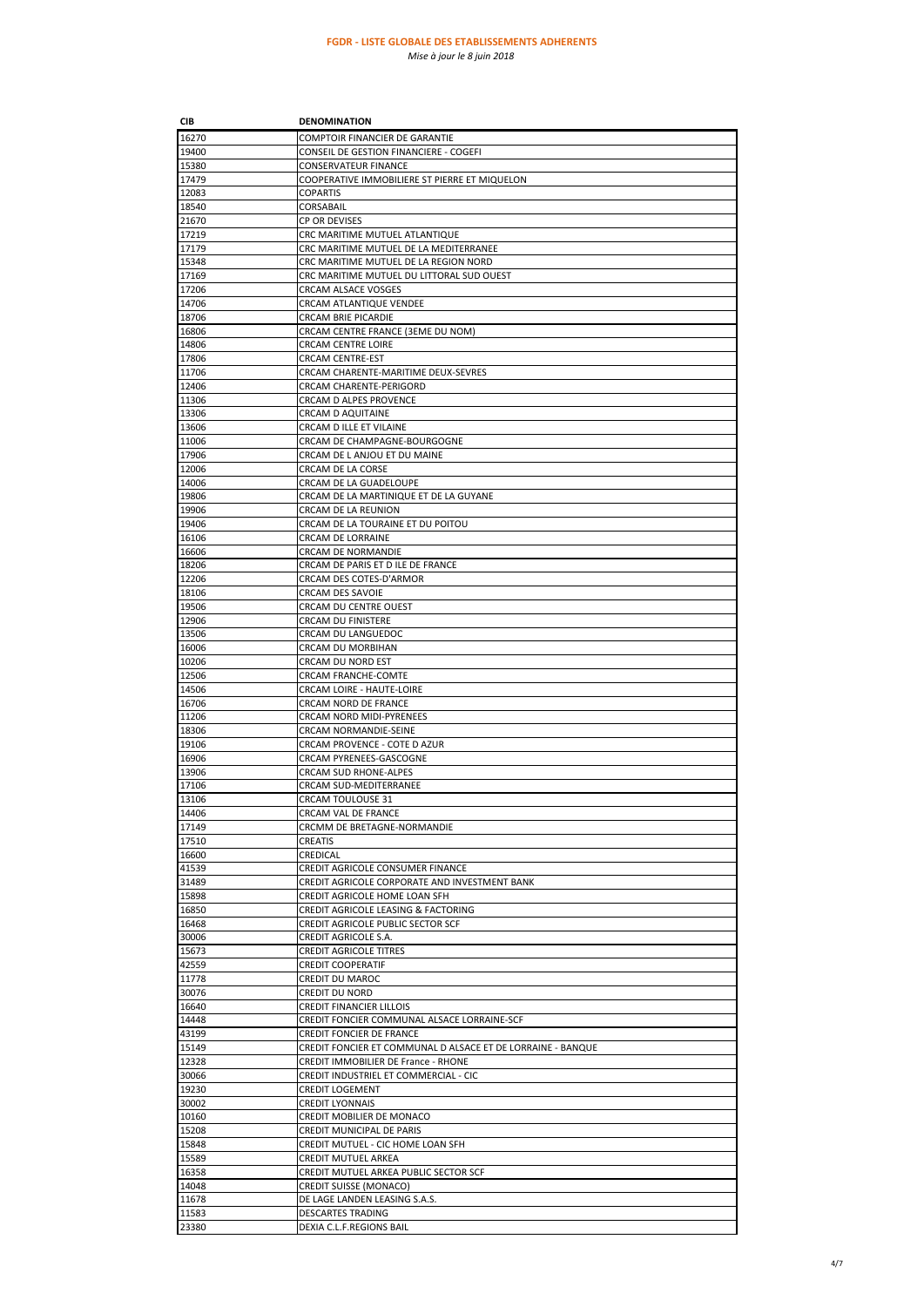| CIB   | <b>DENOMINATION</b>                                         |
|-------|-------------------------------------------------------------|
| 16270 | COMPTOIR FINANCIER DE GARANTIE                              |
| 19400 | CONSEIL DE GESTION FINANCIERE - COGEFI                      |
| 15380 | <b>CONSERVATEUR FINANCE</b>                                 |
| 17479 | COOPERATIVE IMMOBILIERE ST PIERRE ET MIQUELON               |
| 12083 | <b>COPARTIS</b>                                             |
| 18540 | CORSABAIL                                                   |
| 21670 | CP OR DEVISES                                               |
| 17219 | CRC MARITIME MUTUEL ATLANTIQUE                              |
| 17179 | CRC MARITIME MUTUEL DE LA MEDITERRANEE                      |
| 15348 | CRC MARITIME MUTUEL DE LA REGION NORD                       |
| 17169 | CRC MARITIME MUTUEL DU LITTORAL SUD OUEST                   |
| 17206 | <b>CRCAM ALSACE VOSGES</b>                                  |
| 14706 |                                                             |
|       | CRCAM ATLANTIQUE VENDEE<br><b>CRCAM BRIE PICARDIE</b>       |
| 18706 |                                                             |
| 16806 | CRCAM CENTRE FRANCE (3EME DU NOM)                           |
| 14806 | <b>CRCAM CENTRE LOIRE</b>                                   |
| 17806 | CRCAM CENTRE-EST                                            |
| 11706 | CRCAM CHARENTE-MARITIME DEUX-SEVRES                         |
| 12406 | CRCAM CHARENTE-PERIGORD                                     |
| 11306 | CRCAM D ALPES PROVENCE                                      |
| 13306 | CRCAM D AQUITAINE                                           |
| 13606 | CRCAM D ILLE ET VILAINE                                     |
| 11006 | CRCAM DE CHAMPAGNE-BOURGOGNE                                |
| 17906 | CRCAM DE L ANJOU ET DU MAINE                                |
| 12006 | CRCAM DE LA CORSE                                           |
| 14006 | CRCAM DE LA GUADELOUPE                                      |
| 19806 | CRCAM DE LA MARTINIQUE ET DE LA GUYANE                      |
| 19906 | CRCAM DE LA REUNION                                         |
| 19406 | CRCAM DE LA TOURAINE ET DU POITOU                           |
| 16106 | CRCAM DE LORRAINE                                           |
| 16606 | CRCAM DE NORMANDIE                                          |
| 18206 | CRCAM DE PARIS ET D ILE DE FRANCE                           |
| 12206 | CRCAM DES COTES-D'ARMOR                                     |
| 18106 | CRCAM DES SAVOIE                                            |
| 19506 | CRCAM DU CENTRE OUEST                                       |
| 12906 | <b>CRCAM DU FINISTERE</b>                                   |
| 13506 | CRCAM DU LANGUEDOC                                          |
| 16006 | CRCAM DU MORBIHAN                                           |
| 10206 | CRCAM DU NORD EST                                           |
| 12506 | <b>CRCAM FRANCHE-COMTE</b>                                  |
| 14506 | CRCAM LOIRE - HAUTE-LOIRE                                   |
| 16706 | CRCAM NORD DE FRANCE                                        |
| 11206 | CRCAM NORD MIDI-PYRENEES                                    |
| 18306 | CRCAM NORMANDIE-SEINE                                       |
| 19106 | CRCAM PROVENCE - COTE D AZUR                                |
| 16906 | CRCAM PYRENEES-GASCOGNE                                     |
| 13906 | CRCAM SUD RHONE-ALPES                                       |
|       |                                                             |
| 17106 | CRCAM SUD-MEDITERRANEE                                      |
| 13106 | CRCAM TOULOUSE 31                                           |
| 14406 | CRCAM VAL DE FRANCE                                         |
| 17149 | CRCMM DE BRETAGNE-NORMANDIE                                 |
| 17510 | <b>CREATIS</b>                                              |
| 16600 | CREDICAL                                                    |
| 41539 | CREDIT AGRICOLE CONSUMER FINANCE                            |
| 31489 | CREDIT AGRICOLE CORPORATE AND INVESTMENT BANK               |
| 15898 | CREDIT AGRICOLE HOME LOAN SFH                               |
| 16850 | CREDIT AGRICOLE LEASING & FACTORING                         |
| 16468 | CREDIT AGRICOLE PUBLIC SECTOR SCF                           |
| 30006 | CREDIT AGRICOLE S.A.                                        |
| 15673 | <b>CREDIT AGRICOLE TITRES</b>                               |
| 42559 | <b>CREDIT COOPERATIF</b>                                    |
| 11778 | <b>CREDIT DU MAROC</b>                                      |
| 30076 | <b>CREDIT DU NORD</b>                                       |
| 16640 | <b>CREDIT FINANCIER LILLOIS</b>                             |
| 14448 | CREDIT FONCIER COMMUNAL ALSACE LORRAINE-SCF                 |
| 43199 | <b>CREDIT FONCIER DE FRANCE</b>                             |
| 15149 | CREDIT FONCIER ET COMMUNAL D ALSACE ET DE LORRAINE - BANQUE |
| 12328 | CREDIT IMMOBILIER DE France - RHONE                         |
| 30066 | CREDIT INDUSTRIEL ET COMMERCIAL - CIC                       |
| 19230 | <b>CREDIT LOGEMENT</b>                                      |
| 30002 | <b>CREDIT LYONNAIS</b>                                      |
| 10160 | CREDIT MOBILIER DE MONACO                                   |
| 15208 | CREDIT MUNICIPAL DE PARIS                                   |
|       |                                                             |
| 15848 | CREDIT MUTUEL - CIC HOME LOAN SFH                           |
| 15589 | CREDIT MUTUEL ARKEA                                         |
| 16358 | CREDIT MUTUEL ARKEA PUBLIC SECTOR SCF                       |
| 14048 | <b>CREDIT SUISSE (MONACO)</b>                               |
| 11678 | DE LAGE LANDEN LEASING S.A.S.                               |
| 11583 | <b>DESCARTES TRADING</b>                                    |
| 23380 | DEXIA C.L.F.REGIONS BAIL                                    |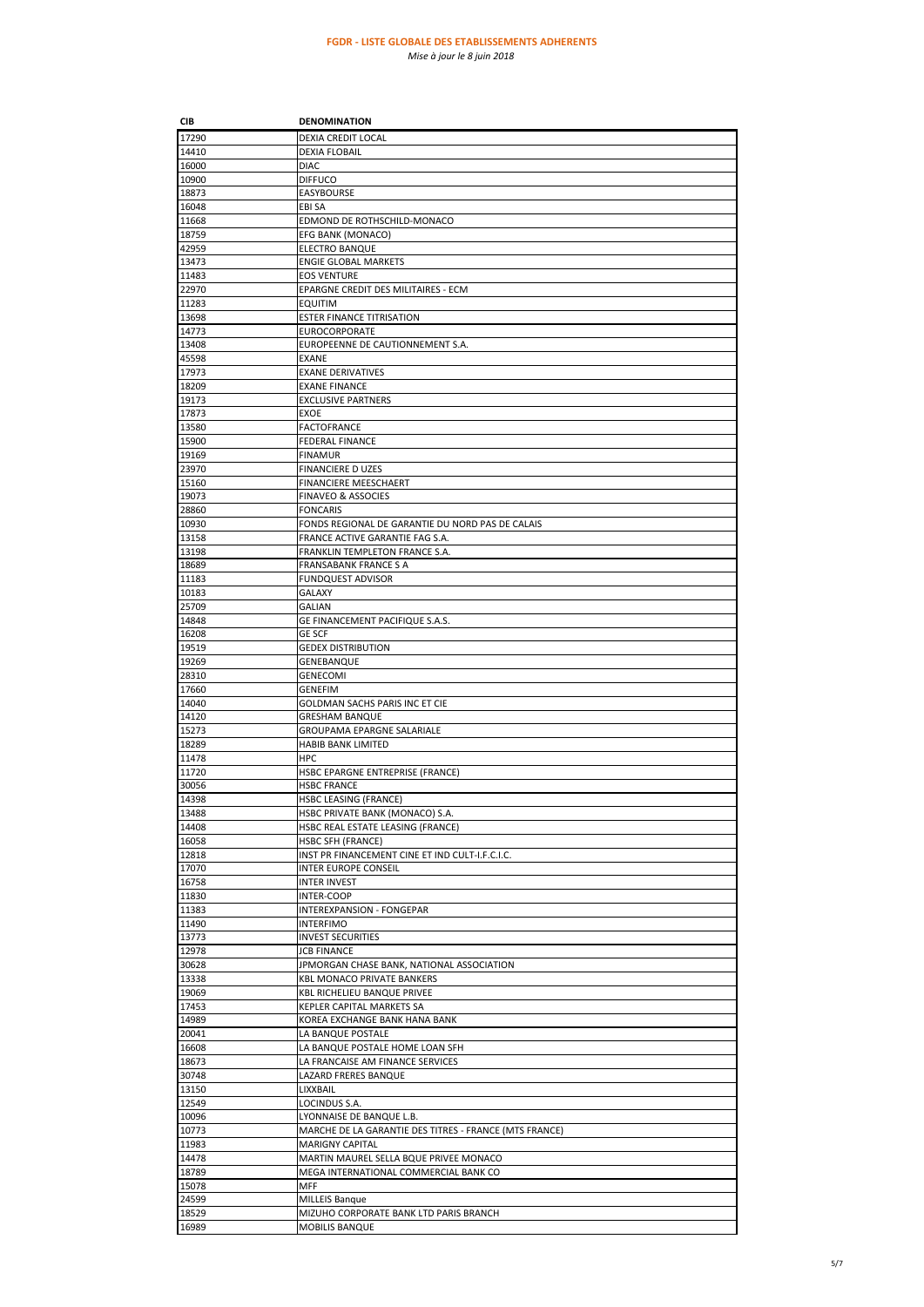| CIB            | <b>DENOMINATION</b>                                      |
|----------------|----------------------------------------------------------|
| 17290          | DEXIA CREDIT LOCAL                                       |
| 14410          | <b>DEXIA FLOBAIL</b>                                     |
| 16000          | <b>DIAC</b>                                              |
| 10900          | <b>DIFFUCO</b>                                           |
| 18873          | EASYBOURSE                                               |
| 16048          | EBI SA                                                   |
| 11668          | EDMOND DE ROTHSCHILD-MONACO                              |
| 18759          | EFG BANK (MONACO)                                        |
| 42959          | <b>ELECTRO BANQUE</b>                                    |
| 13473          | <b>ENGIE GLOBAL MARKETS</b>                              |
| 11483          | <b>EOS VENTURE</b>                                       |
| 22970          | EPARGNE CREDIT DES MILITAIRES - ECM                      |
| 11283          | EQUITIM                                                  |
| 13698          | <b>ESTER FINANCE TITRISATION</b>                         |
| 14773          | <b>EUROCORPORATE</b>                                     |
| 13408          | EUROPEENNE DE CAUTIONNEMENT S.A.                         |
| 45598          | <b>EXANE</b>                                             |
| 17973          | <b>EXANE DERIVATIVES</b>                                 |
| 18209          | <b>EXANE FINANCE</b>                                     |
| 19173          | <b>EXCLUSIVE PARTNERS</b>                                |
| 17873          | EXOE                                                     |
| 13580          | FACTOFRANCE                                              |
| 15900          | <b>FEDERAL FINANCE</b>                                   |
| 19169          | <b>FINAMUR</b>                                           |
| 23970          | FINANCIERE D UZES                                        |
| 15160          | FINANCIERE MEESCHAERT                                    |
| 19073          | <b>FINAVEO &amp; ASSOCIES</b>                            |
| 28860          | <b>FONCARIS</b>                                          |
| 10930          | FONDS REGIONAL DE GARANTIE DU NORD PAS DE CALAIS         |
| 13158          | FRANCE ACTIVE GARANTIE FAG S.A.                          |
| 13198          | FRANKLIN TEMPLETON FRANCE S.A.                           |
| 18689          | <b>FRANSABANK FRANCE S A</b>                             |
| 11183          | <b>FUNDQUEST ADVISOR</b>                                 |
| 10183          | GALAXY                                                   |
| 25709          | <b>GALIAN</b>                                            |
| 14848          | GE FINANCEMENT PACIFIQUE S.A.S.                          |
| 16208<br>19519 | <b>GE SCF</b>                                            |
| 19269          | <b>GEDEX DISTRIBUTION</b><br>GENEBANQUE                  |
| 28310          | GENECOMI                                                 |
| 17660          | GENEFIM                                                  |
| 14040          | GOLDMAN SACHS PARIS INC ET CIE                           |
| 14120          | <b>GRESHAM BANQUE</b>                                    |
| 15273          | GROUPAMA EPARGNE SALARIALE                               |
| 18289          | HABIB BANK LIMITED                                       |
| 11478          | <b>HPC</b>                                               |
| 11720          | HSBC EPARGNE ENTREPRISE (FRANCE)                         |
| 30056          | <b>HSBC FRANCE</b>                                       |
| 14398          | <b>HSBC LEASING (FRANCE)</b>                             |
| 13488          | HSBC PRIVATE BANK (MONACO) S.A.                          |
| 14408          | HSBC REAL ESTATE LEASING (FRANCE)                        |
| 16058          | <b>HSBC SFH (FRANCE)</b>                                 |
| 12818          | INST PR FINANCEMENT CINE ET IND CULT-I.F.C.I.C.          |
| 17070          | INTER EUROPE CONSEIL                                     |
| 16758          | <b>INTER INVEST</b>                                      |
| 11830          | INTER-COOP                                               |
| 11383          | INTEREXPANSION - FONGEPAR                                |
| 11490          | <b>INTERFIMO</b>                                         |
| 13773          | <b>INVEST SECURITIES</b>                                 |
| 12978          | <b>JCB FINANCE</b>                                       |
| 30628          | JPMORGAN CHASE BANK, NATIONAL ASSOCIATION                |
| 13338<br>19069 | <b>KBL MONACO PRIVATE BANKERS</b>                        |
| 17453          | KBL RICHELIEU BANQUE PRIVEE<br>KEPLER CAPITAL MARKETS SA |
| 14989          | KOREA EXCHANGE BANK HANA BANK                            |
| 20041          | LA BANQUE POSTALE                                        |
| 16608          | LA BANQUE POSTALE HOME LOAN SFH                          |
| 18673          | LA FRANCAISE AM FINANCE SERVICES                         |
| 30748          | LAZARD FRERES BANQUE                                     |
| 13150          | LIXXBAIL                                                 |
| 12549          | LOCINDUS S.A.                                            |
| 10096          | LYONNAISE DE BANQUE L.B.                                 |
| 10773          | MARCHE DE LA GARANTIE DES TITRES - FRANCE (MTS FRANCE)   |
| 11983          | <b>MARIGNY CAPITAL</b>                                   |
| 14478          | MARTIN MAUREL SELLA BQUE PRIVEE MONACO                   |
| 18789          | MEGA INTERNATIONAL COMMERCIAL BANK CO                    |
| 15078          | <b>MFF</b>                                               |
| 24599          | <b>MILLEIS Banque</b>                                    |
| 18529          | MIZUHO CORPORATE BANK LTD PARIS BRANCH                   |
| 16989          | MOBILIS BANQUE                                           |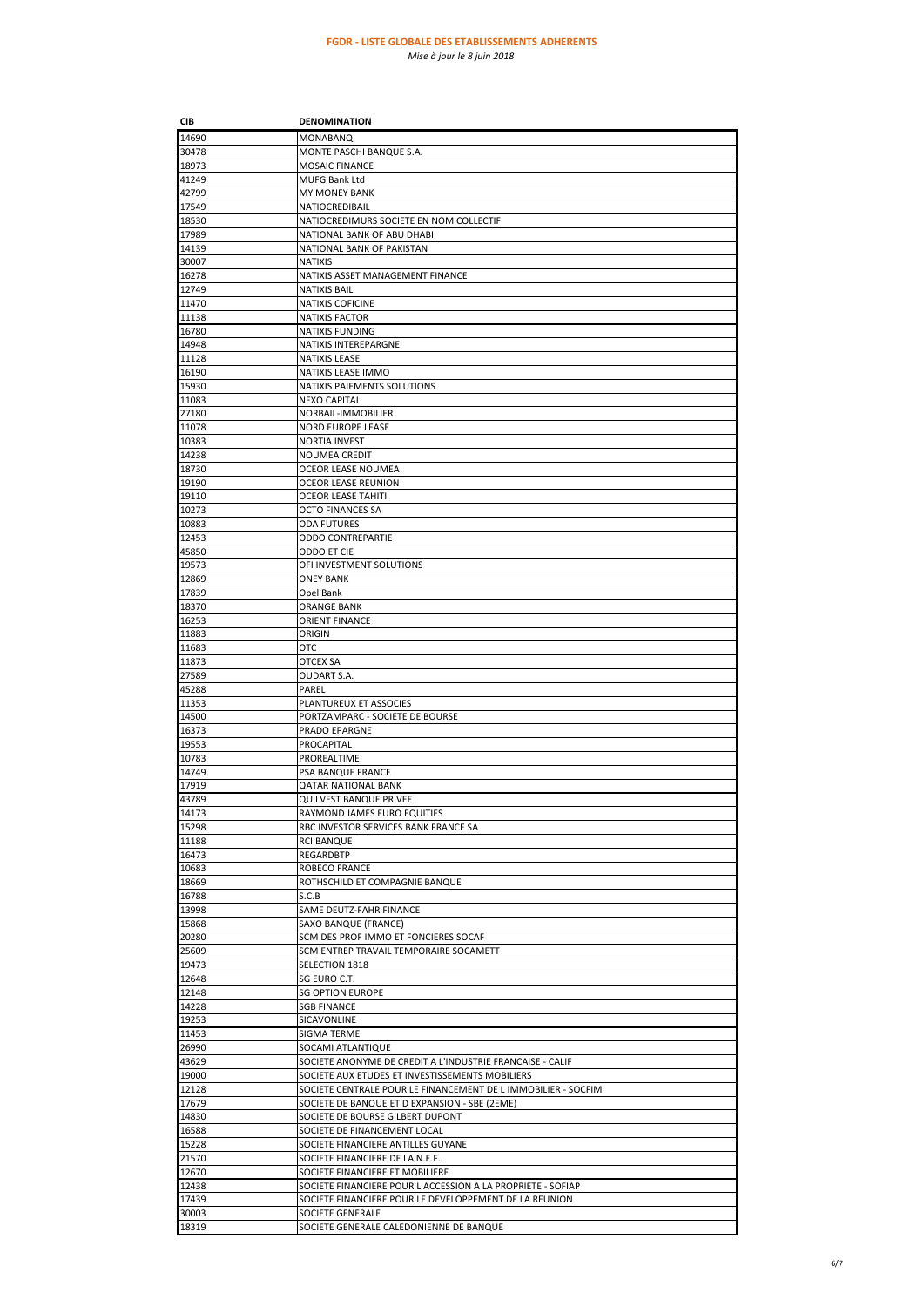| CIB            | <b>DENOMINATION</b>                                                                                                   |
|----------------|-----------------------------------------------------------------------------------------------------------------------|
| 14690          | MONABANQ.                                                                                                             |
| 30478          | MONTE PASCHI BANQUE S.A.                                                                                              |
| 18973          | <b>MOSAIC FINANCE</b>                                                                                                 |
| 41249          | MUFG Bank Ltd                                                                                                         |
| 42799          | MY MONEY BANK                                                                                                         |
| 17549          | NATIOCREDIBAIL                                                                                                        |
| 18530          | NATIOCREDIMURS SOCIETE EN NOM COLLECTIF                                                                               |
| 17989          | NATIONAL BANK OF ABU DHABI                                                                                            |
| 14139<br>30007 | NATIONAL BANK OF PAKISTAN                                                                                             |
| 16278          | <b>NATIXIS</b><br>NATIXIS ASSET MANAGEMENT FINANCE                                                                    |
| 12749          | <b>NATIXIS BAIL</b>                                                                                                   |
| 11470          | <b>NATIXIS COFICINE</b>                                                                                               |
| 11138          | <b>NATIXIS FACTOR</b>                                                                                                 |
| 16780          | <b>NATIXIS FUNDING</b>                                                                                                |
| 14948          | NATIXIS INTEREPARGNE                                                                                                  |
| 11128          | NATIXIS LEASE                                                                                                         |
| 16190          | NATIXIS LEASE IMMO                                                                                                    |
| 15930          | NATIXIS PAIEMENTS SOLUTIONS                                                                                           |
| 11083          | <b>NEXO CAPITAL</b>                                                                                                   |
| 27180<br>11078 | NORBAIL-IMMOBILIER<br><b>NORD EUROPE LEASE</b>                                                                        |
| 10383          | <b>NORTIA INVEST</b>                                                                                                  |
| 14238          | <b>NOUMEA CREDIT</b>                                                                                                  |
| 18730          | OCEOR LEASE NOUMEA                                                                                                    |
| 19190          | <b>OCEOR LEASE REUNION</b>                                                                                            |
| 19110          | <b>OCEOR LEASE TAHITI</b>                                                                                             |
| 10273          | OCTO FINANCES SA                                                                                                      |
| 10883          | <b>ODA FUTURES</b>                                                                                                    |
| 12453          | <b>ODDO CONTREPARTIE</b>                                                                                              |
| 45850          | ODDO ET CIE                                                                                                           |
| 19573          | OFI INVESTMENT SOLUTIONS                                                                                              |
| 12869<br>17839 | <b>ONEY BANK</b>                                                                                                      |
| 18370          | Opel Bank<br>ORANGE BANK                                                                                              |
| 16253          | <b>ORIENT FINANCE</b>                                                                                                 |
| 11883          | ORIGIN                                                                                                                |
| 11683          | отс                                                                                                                   |
| 11873          | OTCEX SA                                                                                                              |
| 27589          | OUDART S.A.                                                                                                           |
| 45288          | PAREL                                                                                                                 |
| 11353          | PLANTUREUX ET ASSOCIES                                                                                                |
| 14500          | PORTZAMPARC - SOCIETE DE BOURSE                                                                                       |
| 16373          | PRADO EPARGNE                                                                                                         |
| 19553<br>10783 | PROCAPITAL<br>PROREALTIME                                                                                             |
| 14749          | PSA BANQUE FRANCE                                                                                                     |
| 17919          | QATAR NATIONAL BANK                                                                                                   |
| 43789          | QUILVEST BANQUE PRIVEE                                                                                                |
| 14173          | RAYMOND JAMES EURO EQUITIES                                                                                           |
| 15298          | RBC INVESTOR SERVICES BANK FRANCE SA                                                                                  |
| 11188          | <b>RCI BANQUE</b>                                                                                                     |
| 16473          | REGARDBTP                                                                                                             |
| 10683          | ROBECO FRANCE                                                                                                         |
| 18669          | ROTHSCHILD ET COMPAGNIE BANQUE                                                                                        |
| 16788<br>13998 | S.C.B<br>SAME DEUTZ-FAHR FINANCE                                                                                      |
| 15868          | SAXO BANQUE (FRANCE)                                                                                                  |
| 20280          | SCM DES PROF IMMO ET FONCIERES SOCAF                                                                                  |
| 25609          | SCM ENTREP TRAVAIL TEMPORAIRE SOCAMETT                                                                                |
| 19473          | SELECTION 1818                                                                                                        |
| 12648          | SG EURO C.T.                                                                                                          |
| 12148          | <b>SG OPTION EUROPE</b>                                                                                               |
| 14228          | <b>SGB FINANCE</b>                                                                                                    |
| 19253          | SICAVONLINE                                                                                                           |
| 11453<br>26990 | SIGMA TERME<br>SOCAMI ATLANTIQUE                                                                                      |
| 43629          | SOCIETE ANONYME DE CREDIT A L'INDUSTRIE FRANCAISE - CALIF                                                             |
| 19000          | SOCIETE AUX ETUDES ET INVESTISSEMENTS MOBILIERS                                                                       |
| 12128          | SOCIETE CENTRALE POUR LE FINANCEMENT DE L IMMOBILIER - SOCFIM                                                         |
| 17679          | SOCIETE DE BANQUE ET D EXPANSION - SBE (2EME)                                                                         |
| 14830          | SOCIETE DE BOURSE GILBERT DUPONT                                                                                      |
| 16588          | SOCIETE DE FINANCEMENT LOCAL                                                                                          |
| 15228          | SOCIETE FINANCIERE ANTILLES GUYANE                                                                                    |
| 21570          | SOCIETE FINANCIERE DE LA N.E.F.                                                                                       |
| 12670          | SOCIETE FINANCIERE ET MOBILIERE                                                                                       |
| 12438<br>17439 | SOCIETE FINANCIERE POUR L ACCESSION A LA PROPRIETE - SOFIAP<br>SOCIETE FINANCIERE POUR LE DEVELOPPEMENT DE LA REUNION |
| 30003          | SOCIETE GENERALE                                                                                                      |
| 18319          | SOCIETE GENERALE CALEDONIENNE DE BANQUE                                                                               |
|                |                                                                                                                       |